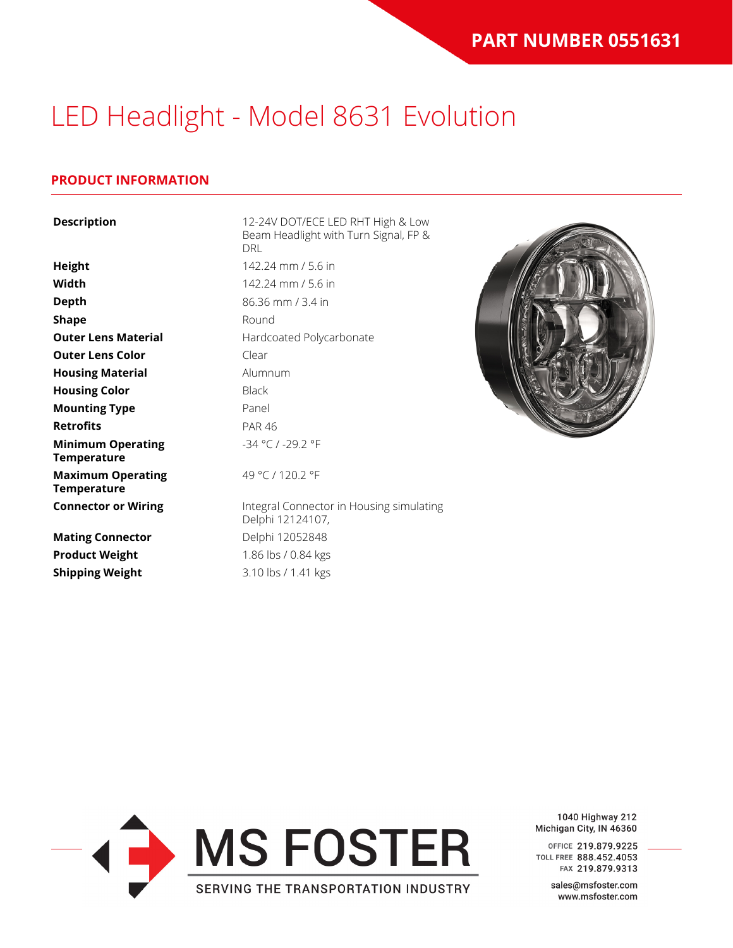### **PRODUCT INFORMATION**

| <b>Description</b>                             | 12-24V DOT/ECE LED RHT High & Low<br>Beam Headlight with Turn Signal, FP &<br><b>DRL</b> |  |  |
|------------------------------------------------|------------------------------------------------------------------------------------------|--|--|
| <b>Height</b>                                  | 142.24 mm / 5.6 in                                                                       |  |  |
| Width                                          | 142.24 mm / 5.6 in                                                                       |  |  |
| <b>Depth</b>                                   | 86.36 mm / 3.4 in                                                                        |  |  |
| Shape                                          | Round                                                                                    |  |  |
| <b>Outer Lens Material</b>                     | Hardcoated Polycarbonate                                                                 |  |  |
| <b>Outer Lens Color</b>                        | Clear                                                                                    |  |  |
| <b>Housing Material</b>                        | Alumnum                                                                                  |  |  |
| <b>Housing Color</b>                           | <b>Black</b>                                                                             |  |  |
| <b>Mounting Type</b>                           | Panel                                                                                    |  |  |
| <b>Retrofits</b>                               | <b>PAR 46</b>                                                                            |  |  |
| <b>Minimum Operating</b><br><b>Temperature</b> | $-34 °C$ / $-29.2 °F$                                                                    |  |  |
| <b>Maximum Operating</b><br><b>Temperature</b> | 49 °C / 120.2 °F                                                                         |  |  |
| <b>Connector or Wiring</b>                     | Integral Connector in Housing simulating<br>Delphi 12124107,                             |  |  |
| <b>Mating Connector</b>                        | Delphi 12052848                                                                          |  |  |
| <b>Product Weight</b>                          | 1.86 lbs / 0.84 kgs                                                                      |  |  |
| <b>Shipping Weight</b>                         | 3.10 lbs / 1.41 kgs                                                                      |  |  |



1040 Highway 212 Michigan City, IN 46360

OFFICE 219.879.9225 TOLL FREE 888.452.4053 FAX 219.879.9313

> sales@msfoster.com www.msfoster.com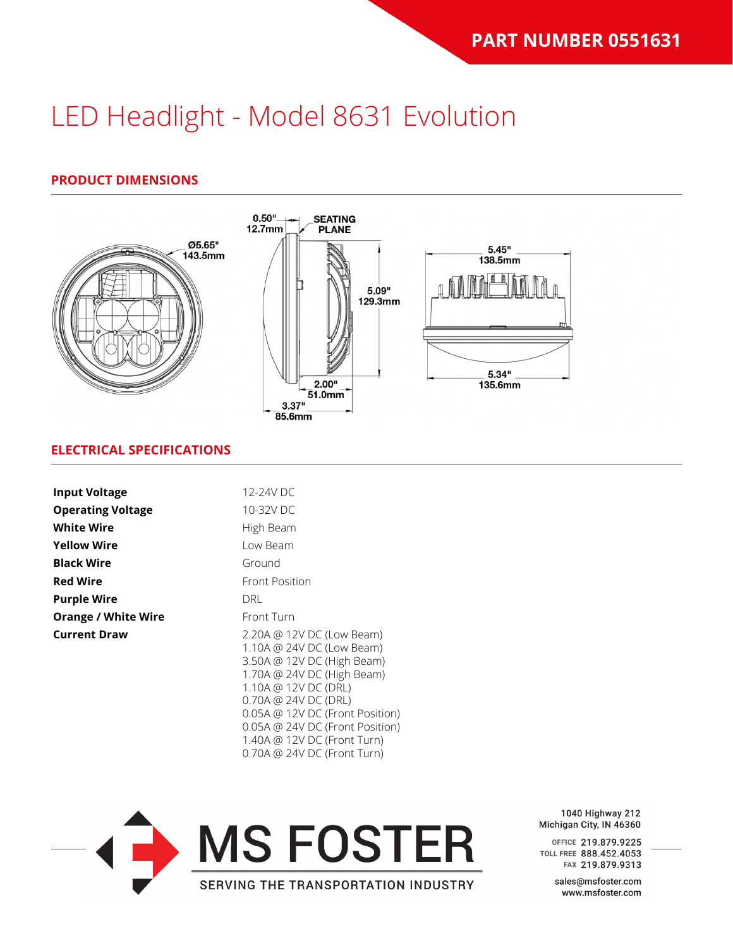### **PRODUCT DIMENSIONS**



### **ELECTRICAL SPECIFICATIONS**

| <b>Input Voltage</b>       | 12-24V DC                                                                                                                                                                                                                                |  |  |
|----------------------------|------------------------------------------------------------------------------------------------------------------------------------------------------------------------------------------------------------------------------------------|--|--|
|                            |                                                                                                                                                                                                                                          |  |  |
| <b>Operating Voltage</b>   | 10-32V DC                                                                                                                                                                                                                                |  |  |
| <b>White Wire</b>          | High Beam                                                                                                                                                                                                                                |  |  |
| <b>Yellow Wire</b>         | Low Beam                                                                                                                                                                                                                                 |  |  |
| <b>Black Wire</b>          | Ground                                                                                                                                                                                                                                   |  |  |
| <b>Red Wire</b>            | <b>Front Position</b>                                                                                                                                                                                                                    |  |  |
| <b>Purple Wire</b>         | <b>DRL</b>                                                                                                                                                                                                                               |  |  |
| <b>Orange / White Wire</b> | Front Turn                                                                                                                                                                                                                               |  |  |
| <b>Current Draw</b>        | 2.20A @ 12V DC (Low Beam)<br>1.10A @ 24V DC (Low Beam)<br>3.50A @ 12V DC (High Beam)<br>1.70A @ 24V DC (High Beam)<br>1.10A @ 12V DC (DRL)<br>0.70A @ 24V DC (DRL)<br>0.05A @ 12V DC (Front Position)<br>0.05A @ 24V DC (Front Position) |  |  |



1.40A @ 12V DC (Front Turn) 0.70A @ 24V DC (Front Turn)

> 1040 Highway 212 Michigan City, IN 46360

> OFFICE 219.879.9225 TOLL FREE 888.452.4053 FAX 219.879.9313

> > sales@msfoster.com www.msfoster.com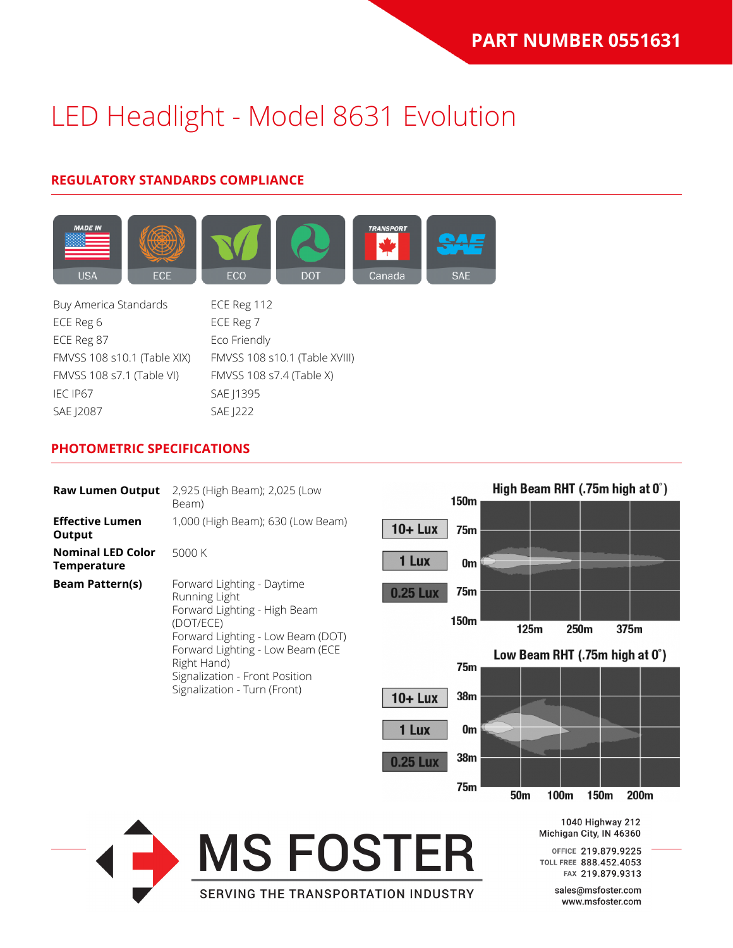## **REGULATORY STANDARDS COMPLIANCE**



Buy America Standards ECE Reg 112 ECE Reg 6 ECE Reg 7 ECE Reg 87 Eco Friendly FMVSS 108 s10.1 (Table XIX) FMVSS 108 s10.1 (Table XVIII) FMVSS 108 s7.1 (Table VI) FMVSS 108 s7.4 (Table X) IEC IP67 SAE J1395 SAE J2087 SAE J222

### **PHOTOMETRIC SPECIFICATIONS**

| <b>Raw Lumen Output</b>                                                                                                                                                                             | 2,925 (High Beam); 2,025 (Low               |                                    | High Beam RHT (.75m high at 0°)                                   |
|-----------------------------------------------------------------------------------------------------------------------------------------------------------------------------------------------------|---------------------------------------------|------------------------------------|-------------------------------------------------------------------|
|                                                                                                                                                                                                     | Beam)                                       | 150m                               |                                                                   |
| <b>Effective Lumen</b><br>Output                                                                                                                                                                    | 1,000 (High Beam); 630 (Low Beam)           | $10 + Lux$<br><b>75m</b>           |                                                                   |
| <b>Nominal LED Color</b><br><b>Temperature</b>                                                                                                                                                      | 5000 K                                      | 1 Lux<br>0 <sub>m</sub>            |                                                                   |
| <b>Beam Pattern(s)</b>                                                                                                                                                                              | Forward Lighting - Daytime<br>Running Light | <b>75m</b><br><b>0.25 Lux</b>      |                                                                   |
| Forward Lighting - High Beam<br>(DOT/ECE)<br>Forward Lighting - Low Beam (DOT)<br>Forward Lighting - Low Beam (ECE<br>Right Hand)<br>Signalization - Front Position<br>Signalization - Turn (Front) |                                             | 150m                               | 125m<br>250m<br>375m                                              |
|                                                                                                                                                                                                     |                                             | 75m                                | Low Beam RHT (.75m high at 0°)                                    |
|                                                                                                                                                                                                     | 38m<br>$10 + Lux$                           |                                    |                                                                   |
|                                                                                                                                                                                                     |                                             | 1 Lux<br>0 <sub>m</sub>            |                                                                   |
|                                                                                                                                                                                                     |                                             | 38 <sub>m</sub><br><b>0.25 Lux</b> |                                                                   |
|                                                                                                                                                                                                     |                                             | 75m                                | 50 <sub>m</sub><br>100m<br>200m<br>150m                           |
|                                                                                                                                                                                                     |                                             |                                    | 1040 Highway 212<br>Michigan City, IN 46360                       |
|                                                                                                                                                                                                     | <b>MS FOSTER</b>                            |                                    | OFFICE 219.879.9225<br>TOLL FREE 888.452.4053<br>FAX 219.879.9313 |
|                                                                                                                                                                                                     | <b>SERVING THE TRANSPORTATION INDUSTRY</b>  |                                    | sales@msfoster.com<br>www.msfoster.com                            |